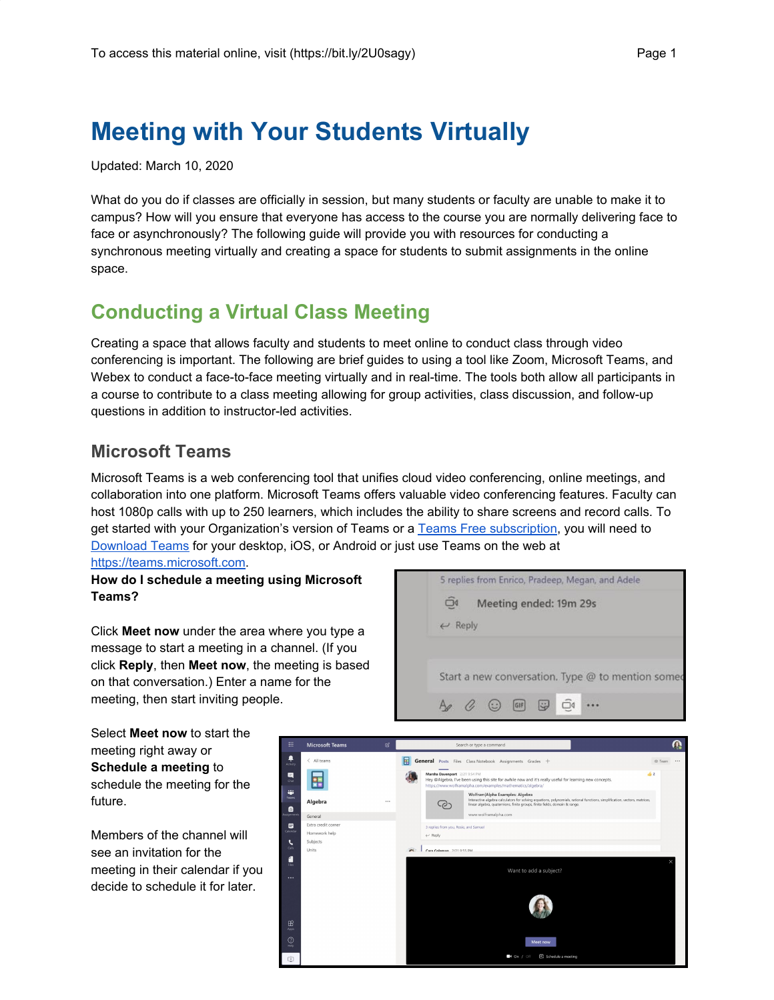# **Meeting with Your Students Virtually**

Updated: March 10, 2020

What do you do if classes are officially in session, but many students or faculty are unable to make it to campus? How will you ensure that everyone has access to the course you are normally delivering face to face or asynchronously? The following guide will provide you with resources for conducting a synchronous meeting virtually and creating a space for students to submit assignments in the online space.

## **Conducting a Virtual Class Meeting**

Creating a space that allows faculty and students to meet online to conduct class through video conferencing is important. The following are brief guides to using a tool like Zoom, Microsoft Teams, and Webex to conduct a face-to-face meeting virtually and in real-time. The tools both allow all participants in a course to contribute to a class meeting allowing for group activities, class discussion, and follow-up questions in addition to instructor-led activities.

## **Microsoft Teams**

Microsoft Teams is a web conferencing tool that unifies cloud video conferencing, online meetings, and collaboration into one platform. Microsoft Teams offers valuable video conferencing features. Faculty can host 1080p calls with up to 250 learners, which includes the ability to share screens and record calls. To get started with your Organization's version of Teams or a Teams Free [subscription,](https://support.office.com/en-us/article/sign-up-for-teams-free-70aaf044-b872-4c32-ac47-362ab29ebbb1) you will need to [Download](https://aka.ms/getteams) Teams for your desktop, iOS, or Android or just use Teams on the web at [https://teams.microsoft.com](https://teams.microsoft.com/).

**How do I schedule a meeting using Microsoft Teams?**

Click **Meet now** under the area where you type a message to start a meeting in a channel. (If you click **Reply**, then **Meet now**, the meeting is based on that conversation.) Enter a name for the meeting, then start inviting people.

Select **Meet now** to start the meeting right away or **Schedule a meeting** to schedule the meeting for the future.

Members of the channel will see an invitation for the meeting in their calendar if you decide to schedule it for later.



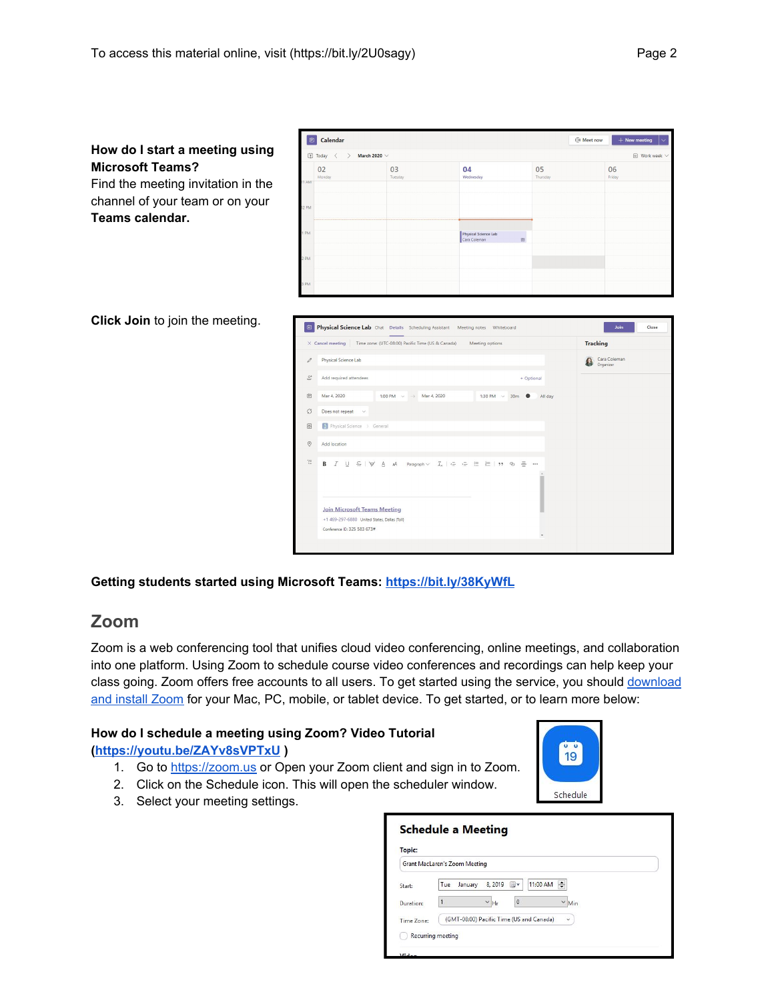## **How do I start a meeting using Microsoft Teams?**

Find the meeting invitation in the channel of your team or on your **Teams calendar.**

| Ü     | Calendar                                                                        |               |                                      |                                                                  | ○ Meet now<br>$+$ New meeting |  |  |  |
|-------|---------------------------------------------------------------------------------|---------------|--------------------------------------|------------------------------------------------------------------|-------------------------------|--|--|--|
|       | [j] Today<br>March 2020 $\vee$<br>$\boxdot$ Work week $\vee$<br>$\epsilon$<br>> |               |                                      |                                                                  |                               |  |  |  |
| MA TT | 02<br>Monday                                                                    | 03<br>Tuesday | 04<br>Wednesday                      | 05<br>Thursday                                                   | 06<br>Friday                  |  |  |  |
|       |                                                                                 |               |                                      |                                                                  |                               |  |  |  |
| 12 PM |                                                                                 |               |                                      |                                                                  |                               |  |  |  |
| PM    |                                                                                 |               | Physical Science Lab<br>Cara Coleman | $\qquad \qquad \qquad \qquad \qquad \qquad \qquad \qquad \qquad$ |                               |  |  |  |
| 2 PM  |                                                                                 |               |                                      |                                                                  |                               |  |  |  |
| 3 PM  |                                                                                 |               |                                      |                                                                  |                               |  |  |  |

**Click Join** to join the meeting.

|                  | $\times$ Cancel meeting<br>Time zone: (UTC-08:00) Pacific Time (US & Canada)<br>Meeting options                                       | <b>Tracking</b>           |
|------------------|---------------------------------------------------------------------------------------------------------------------------------------|---------------------------|
| 0                | Physical Science Lab                                                                                                                  | Cara Coleman<br>Organizer |
| $\mathfrak{S}^*$ | Add required attendees<br>+ Optional                                                                                                  |                           |
|                  | Mar 4, 2020<br>1:00 PM $\vee$ $\rightarrow$ Mar 4, 2020<br>1:30 PM $\sim$ 30m<br>All day                                              |                           |
|                  | Does not repeat $\sim$                                                                                                                |                           |
| 目                | Physical Science > General                                                                                                            |                           |
|                  | Add location                                                                                                                          |                           |
| Ξ                | $I \cup S \mid \forall A \land \text{Paragraph} \vee I_x \mid \in \in E \equiv \equiv \mid \mathbf{1} \cup \infty \equiv \cdots$<br>В |                           |
|                  | <b>Join Microsoft Teams Meeting</b><br>+1 469-297-6880 United States, Dallas (Toll)                                                   |                           |
|                  | Conference ID: 325 583 673#                                                                                                           |                           |

#### **Getting students started using Microsoft Teams: <https://bit.ly/38KyWfL>**

### **Zoom**

Zoom is a web conferencing tool that unifies cloud video conferencing, online meetings, and collaboration into one platform. Using Zoom to schedule course video conferences and recordings can help keep your class going. Zoom offers free accounts to all users. To get started using the service, you should [download](https://zoom.us/support/download) and [install](https://zoom.us/support/download) Zoom for your Mac, PC, mobile, or tablet device. To get started, or to learn more below:

#### **How do I schedule a meeting using Zoom? Video Tutorial**

#### **[\(https://youtu.be/ZAYv8sVPTxU](https://youtu.be/ZAYv8sVPTxU) )**

- 1. Go to [https://zoom.us](https://zoom.us/) or Open your Zoom client and sign in to Zoom.
- 2. Click on the Schedule icon. This will open the scheduler window.
- 3. Select your meeting settings.

| Schedule |  |
|----------|--|

| <b>Topic:</b>                 |                                                          |                    |                          |  |
|-------------------------------|----------------------------------------------------------|--------------------|--------------------------|--|
| Grant MacLaren's Zoom Meeting |                                                          |                    |                          |  |
| Start:                        | <b>Tue</b>                                               | 8,2019<br>January  | $\div$<br>11:00 AM<br>国一 |  |
| Duration:                     |                                                          | $\checkmark$<br>Hr | $\theta$<br>$\vee$ Min   |  |
|                               | (GMT-08:00) Pacific Time (US and Canada)<br>$\checkmark$ |                    |                          |  |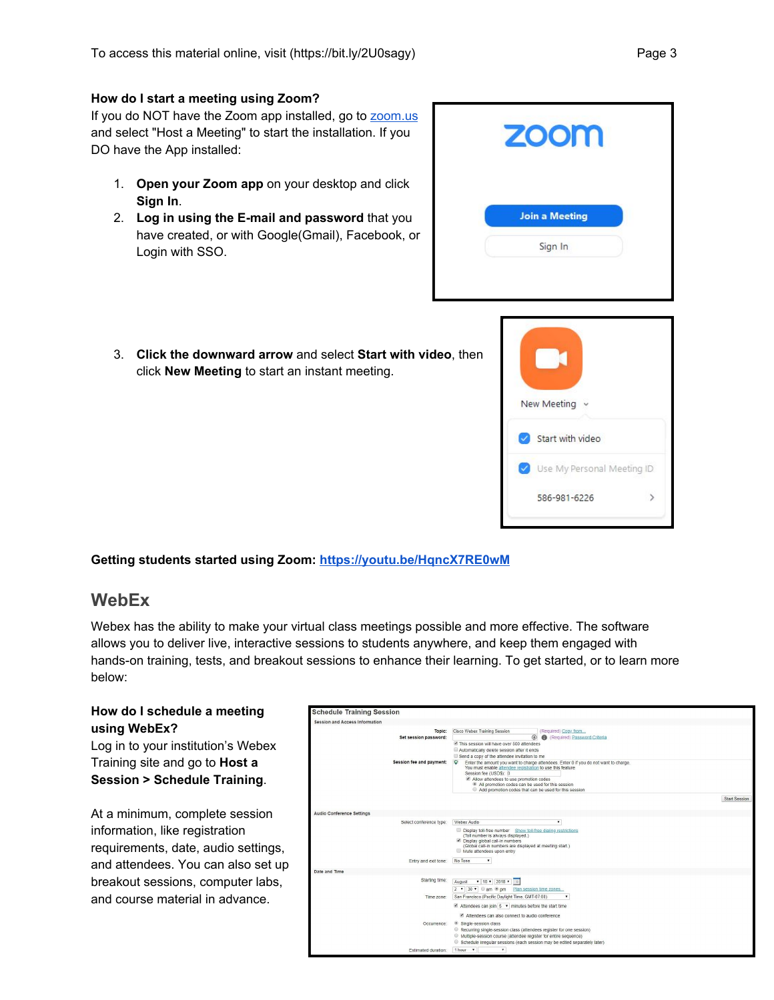#### **How do I start a meeting using Zoom?**

If you do NOT have the Zoom app installed, go to [zoom.us](https://zoom.us/) and select "Host a Meeting" to start the installation. If you DO have the App installed:

- 1. **Open your Zoom app** on your desktop and click **Sign In**.
- 2. **Log in using the E-mail and password** that you have created, or with Google(Gmail), Facebook, or Login with SSO.



3. **Click the downward arrow** and select **Start with video**, then click **New Meeting** to start an instant meeting.



#### **Getting students started using Zoom: <https://youtu.be/HqncX7RE0wM>**

### **WebEx**

Webex has the ability to make your virtual class meetings possible and more effective. The software allows you to deliver live, interactive sessions to students anywhere, and keep them engaged with hands-on training, tests, and breakout sessions to enhance their learning. To get started, or to learn more below:

#### **How do I schedule a meeting using WebEx?**

Log in to your institution's Webex Training site and go to **Host a Session > Schedule Training**.

At a minimum, complete session information, like registration requirements, date, audio settings, and attendees. You can also set up breakout sessions, computer labs, and course material in advance.

| Session and Access Information  |                                                                                                                                                                                                                                                                                                                                                                                         |                      |
|---------------------------------|-----------------------------------------------------------------------------------------------------------------------------------------------------------------------------------------------------------------------------------------------------------------------------------------------------------------------------------------------------------------------------------------|----------------------|
| Topic:<br>Set session password: | Cisco Webex Training Session<br>(Required) Copy from<br>@<br>Required) Password Criteria<br>This session will have over 500 attendees<br>Automatically delete session after it ends                                                                                                                                                                                                     |                      |
| Session fee and payment:        | Send a copy of the attendee invitation to me<br>ю<br>Enter the amount you want to charge attendees. Enter 0 if you do not want to charge.<br>You must enable attendee registration to use this feature<br>Session fee (USD\$): 0<br>Allow attendees to use promotion codes<br>All promotion codes can be used for this session<br>Add promotion codes that can be used for this session |                      |
|                                 |                                                                                                                                                                                                                                                                                                                                                                                         | <b>Start Session</b> |
| Audio Conference Settings       |                                                                                                                                                                                                                                                                                                                                                                                         |                      |
| Select conference type:         | Webex Audio<br>۰<br>Display toll-free number Show toll-free dialing restrictions                                                                                                                                                                                                                                                                                                        |                      |
|                                 | (Toll number is always displayed.)<br>Display global call-in numbers<br>(Global call-in numbers are displayed at meeting start.)<br>Mute attendees upon entry                                                                                                                                                                                                                           |                      |
| Entry and exit tone:            | No Tone<br>$\mathbf{v}$                                                                                                                                                                                                                                                                                                                                                                 |                      |
| Date and Time                   |                                                                                                                                                                                                                                                                                                                                                                                         |                      |
| Starting time:                  | ▼ 10 ▼ 2018 ▼ 0<br>August<br>2 v 30 v am @ pm Plan session time zones                                                                                                                                                                                                                                                                                                                   |                      |
| Time zone:                      | San Francisco (Pacific Daylight Time, GMT-07:00)<br>$\blacktriangleright$ Attendees can join $5 \blacktriangleright$ minutes before the start time                                                                                                                                                                                                                                      |                      |
| Occurrence:                     | Attendees can also connect to audio conference<br>Single-session class                                                                                                                                                                                                                                                                                                                  |                      |
|                                 | Recurring single-session class (attendees register for one session)<br>Multiple-session course (attendee register for entire sequence)<br>Schedule irregular sessions (each session may be edited separately later)                                                                                                                                                                     |                      |
| Estimated duration:             | 1 hour .<br>۰                                                                                                                                                                                                                                                                                                                                                                           |                      |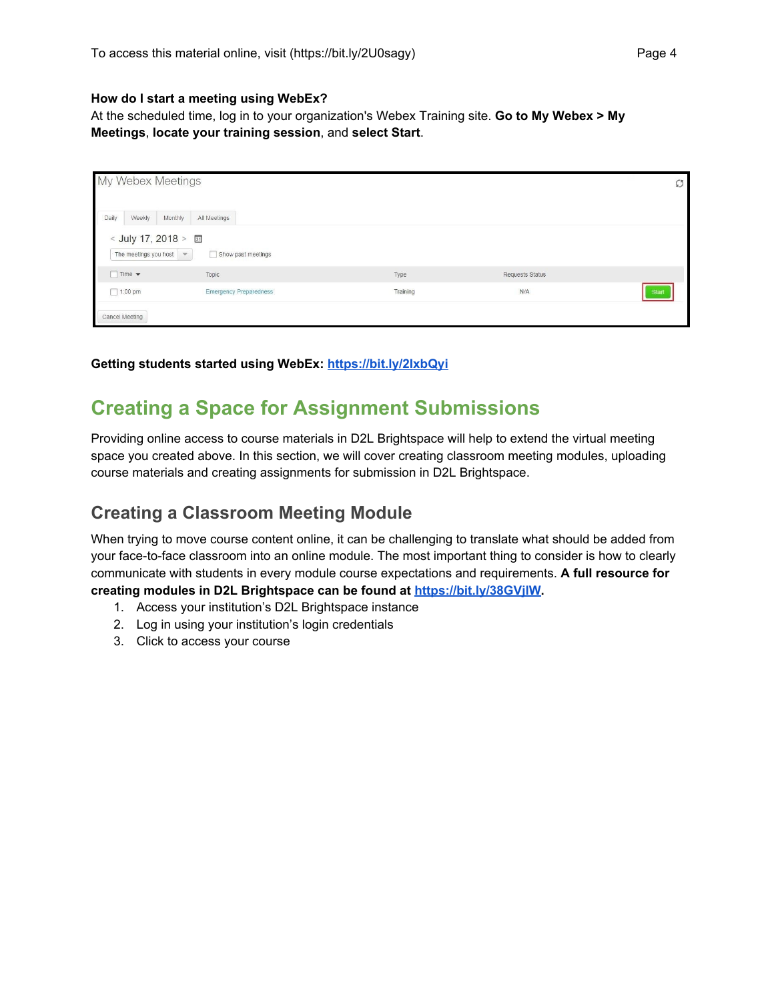#### **How do I start a meeting using WebEx?**

At the scheduled time, log in to your organization's Webex Training site. **Go to My Webex > My Meetings**, **locate your training session**, and **select Start**.

| My Webex Meetings                |                                                           |          |                        |  |  |
|----------------------------------|-----------------------------------------------------------|----------|------------------------|--|--|
| Daily<br>Weekly                  | Monthly<br>All Meetings                                   |          |                        |  |  |
| The meetings you host            | < July 17, 2018 > 3<br>Show past meetings<br>$\mathbf{v}$ |          |                        |  |  |
| $\Box$ Time $\blacktriangledown$ | Topic                                                     | Type     | <b>Requests Status</b> |  |  |
| $1:00$ pm                        | <b>Emergency Preparedness</b>                             | Training | N/A<br><b>Start</b>    |  |  |
| Cancel Meeting                   |                                                           |          |                        |  |  |

#### **Getting students started using WebEx: <https://bit.ly/2IxbQyi>**

## **Creating a Space for Assignment Submissions**

Providing online access to course materials in D2L Brightspace will help to extend the virtual meeting space you created above. In this section, we will cover creating classroom meeting modules, uploading course materials and creating assignments for submission in D2L Brightspace.

## **Creating a Classroom Meeting Module**

When trying to move course content online, it can be challenging to translate what should be added from your face-to-face classroom into an online module. The most important thing to consider is how to clearly communicate with students in every module course expectations and requirements. **A full resource for creating modules in D2L Brightspace can be found at <https://bit.ly/38GVjlW>.**

- 1. Access your institution's D2L Brightspace instance
- 2. Log in using your institution's login credentials
- 3. Click to access your course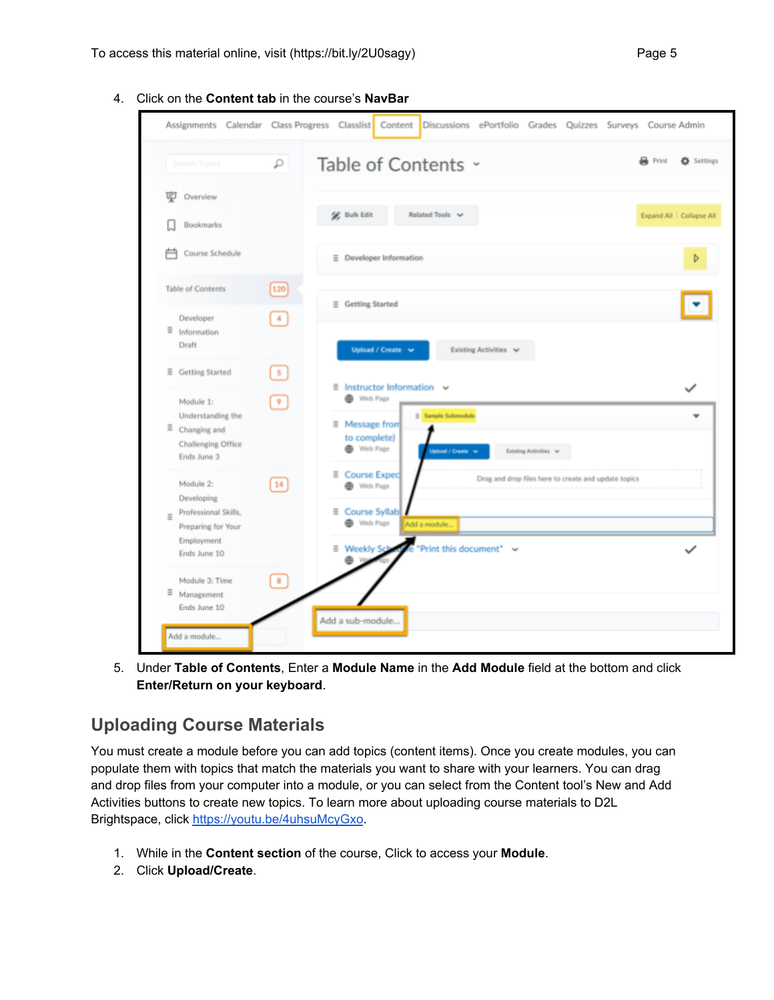- Assignments Calendar Class Progress Classlist Content Discussions ePortfolio Grades Quizzes Surveys Course Admin Table of Contents ~ Settings **R** Print ا فر **专** Overview **SR** Bulk Edit Related Tools V Expand All | Collapse All Bookmarks **户** Course Schedule  $\equiv$  Developer Information Þ **Table of Contents**  $[120]$  $\equiv$  Getting Started Developer  $\vert 4 \rangle$  $\equiv$  Information Draft Upload / Create v **Existing Activities** ■ Getting Started  $\equiv$ **Instructor Information** Web Page Module 1:  $\boldsymbol{9}$ Understanding the **Sample Submodule**  $\equiv$  Message from  $\equiv$  Changing and to complete) Challenging Office Web Page Existing Activities v Ends June 3 **E** Course Expec Drag and drop files here to create and update topics Module 2:  $\boxed{14}$ Web Page Developing ≡ Course Syllab Professional Skills, Web Page Preparing for Your Add a module Employment "Print this document"  $\equiv$ **Weekly S** Ends June 10 ė  $\sqrt{8}$ Module 3: Time ≡ Management Ends June 10 Add a sub-module. Add a module...
- 4. Click on the **Content tab** in the course's **NavBar**

5. Under **Table of Contents**, Enter a **Module Name** in the **Add Module** field at the bottom and click **Enter/Return on your keyboard**.

## **Uploading Course Materials**

You must create a module before you can add topics (content items). Once you create modules, you can populate them with topics that match the materials you want to share with your learners. You can drag and drop files from your computer into a module, or you can select from the Content tool's New and Add Activities buttons to create new topics. To learn more about uploading course materials to D2L Brightspace, click <https://youtu.be/4uhsuMcyGxo>.

- 1. While in the **Content section** of the course, Click to access your **Module**.
- 2. Click **Upload/Create**.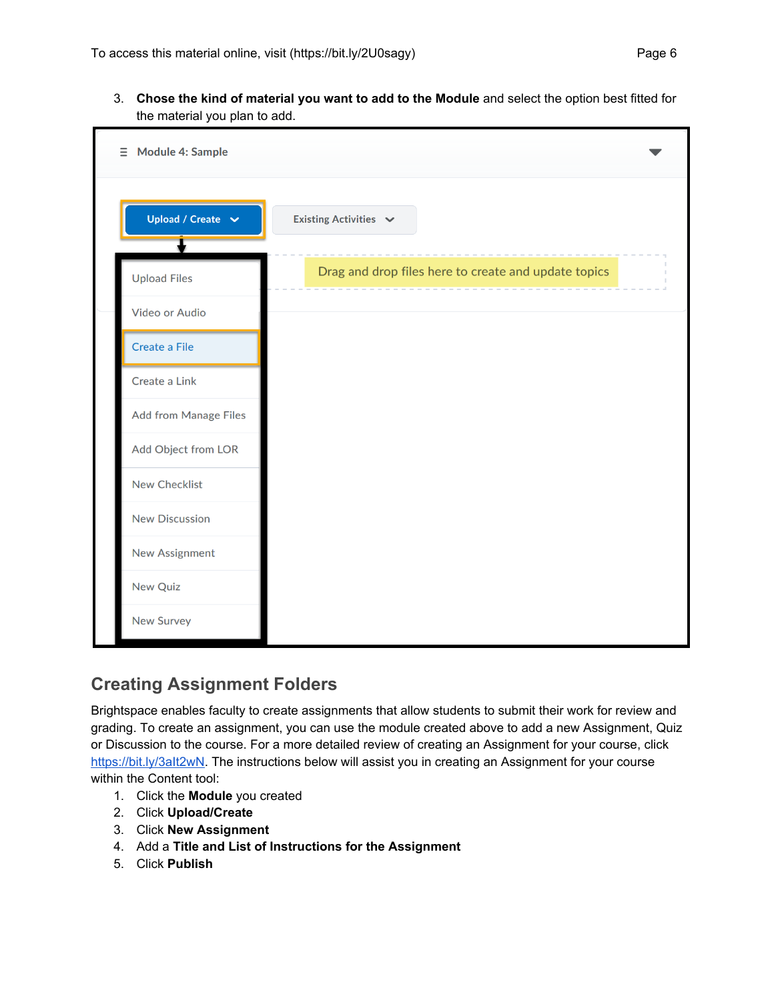3. **Chose the kind of material you want to add to the Module** and select the option best fitted for the material you plan to add.



## **Creating Assignment Folders**

Brightspace enables faculty to create assignments that allow students to submit their work for review and grading. To create an assignment, you can use the module created above to add a new Assignment, Quiz or Discussion to the course. For a more detailed review of creating an Assignment for your course, click https://bit.ly/3alt2wN. The instructions below will assist you in creating an Assignment for your course within the Content tool:

- 1. Click the **Module** you created
- 2. Click **Upload/Create**
- 3. Click **New Assignment**
- 4. Add a **Title and List of Instructions for the Assignment**
- 5. Click **Publish**